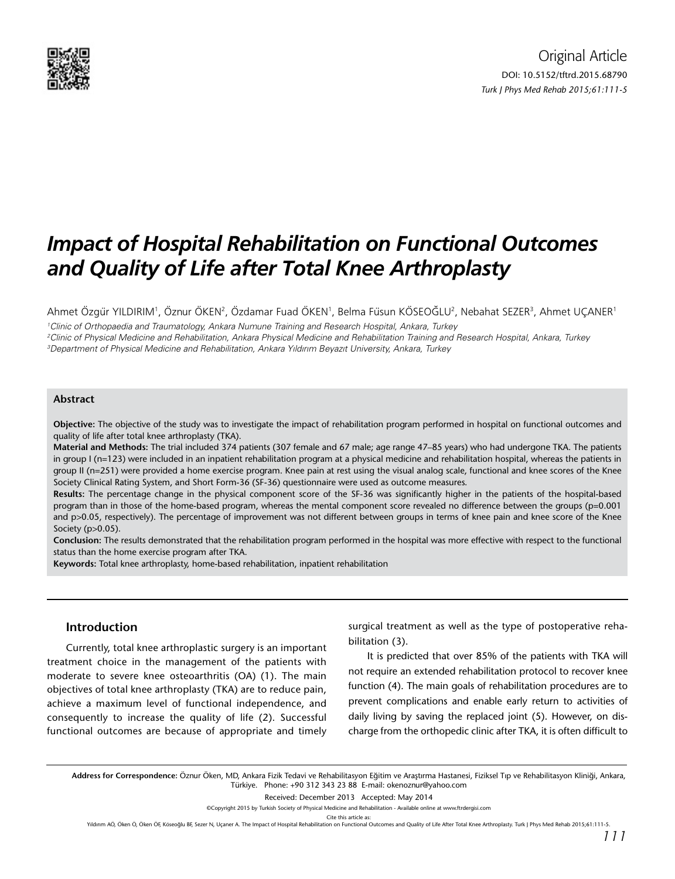

# *Impact of Hospital Rehabilitation on Functional Outcomes and Quality of Life after Total Knee Arthroplasty*

Ahmet Özgür YILDIRIM', Öznur ÖKEN<sup>2</sup>, Özdamar Fuad ÖKEN', Belma Füsun KÖSEOĞLU<sup>2</sup>, Nebahat SEZER<sup>3</sup>, Ahmet UÇANER'

1 Clinic of Orthopaedia and Traumatology, Ankara Numune Training and Research Hospital, Ankara, Turkey 2 Clinic of Physical Medicine and Rehabilitation, Ankara Physical Medicine and Rehabilitation Training and Research Hospital, Ankara, Turkey 3 Department of Physical Medicine and Rehabilitation, Ankara Yıldırım Beyazıt University, Ankara, Turkey

#### **Abstract**

**Objective:** The objective of the study was to investigate the impact of rehabilitation program performed in hospital on functional outcomes and quality of life after total knee arthroplasty (TKA).

**Material and Methods:** The trial included 374 patients (307 female and 67 male; age range 47–85 years) who had undergone TKA. The patients in group I (n=123) were included in an inpatient rehabilitation program at a physical medicine and rehabilitation hospital, whereas the patients in group II (n=251) were provided a home exercise program. Knee pain at rest using the visual analog scale, functional and knee scores of the Knee Society Clinical Rating System, and Short Form-36 (SF-36) questionnaire were used as outcome measures.

**Results:** The percentage change in the physical component score of the SF-36 was significantly higher in the patients of the hospital-based program than in those of the home-based program, whereas the mental component score revealed no difference between the groups (p=0.001 and p>0.05, respectively). The percentage of improvement was not different between groups in terms of knee pain and knee score of the Knee Society (p>0.05).

**Conclusion:** The results demonstrated that the rehabilitation program performed in the hospital was more effective with respect to the functional status than the home exercise program after TKA.

**Keywords:** Total knee arthroplasty, home-based rehabilitation, inpatient rehabilitation

## **Introduction**

Currently, total knee arthroplastic surgery is an important treatment choice in the management of the patients with moderate to severe knee osteoarthritis (OA) (1). The main objectives of total knee arthroplasty (TKA) are to reduce pain, achieve a maximum level of functional independence, and consequently to increase the quality of life (2). Successful functional outcomes are because of appropriate and timely surgical treatment as well as the type of postoperative rehabilitation (3).

It is predicted that over 85% of the patients with TKA will not require an extended rehabilitation protocol to recover knee function (4). The main goals of rehabilitation procedures are to prevent complications and enable early return to activities of daily living by saving the replaced joint (5). However, on discharge from the orthopedic clinic after TKA, it is often difficult to

**Address for Correspondence:** Öznur Öken, MD, Ankara Fizik Tedavi ve Rehabilitasyon Eğitim ve Araştırma Hastanesi, Fiziksel Tıp ve Rehabilitasyon Kliniği, Ankara, Türkiye. Phone: +90 312 343 23 88 E-mail: okenoznur@yahoo.com

Received: December 2013 Accepted: May 2014

Cite this article as

Yıldırım AÖ, Öken Ö, Öken ÖF, Köseoğlu BF, Sezer N, Uçaner A. The Impact of Hospital Rehabilitation on Functional Outcomes and Quality of Life After Total Knee Arthroplasty. Turk J Phys Med Rehab 2015;61:111-5.

<sup>©</sup>Copyright 2015 by Turkish Society of Physical Medicine and Rehabilitation - Available online at www.ftrdergisi.com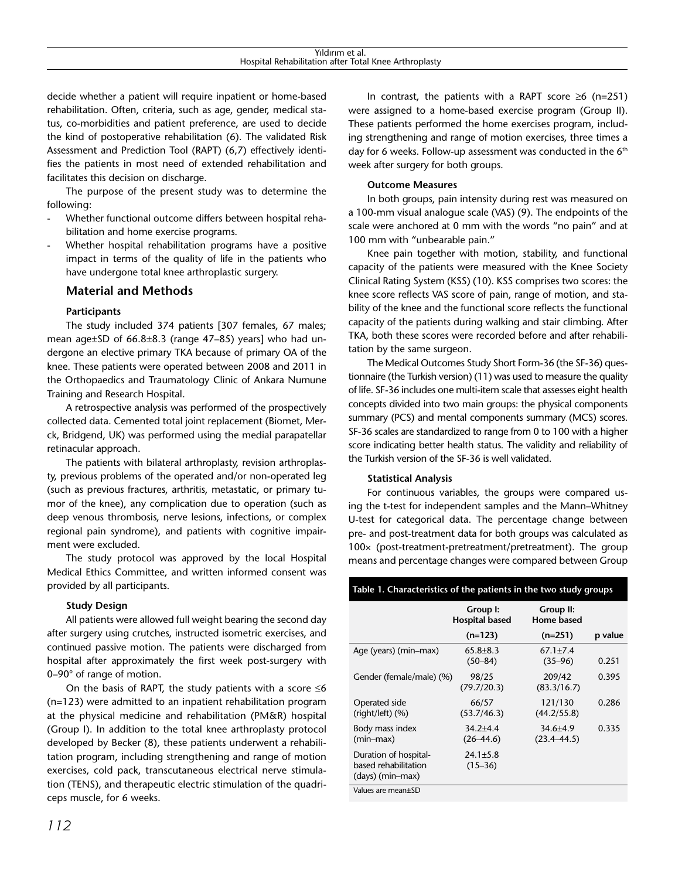| Yıldırım et al.                                       |  |  |  |  |
|-------------------------------------------------------|--|--|--|--|
| Hospital Rehabilitation after Total Knee Arthroplasty |  |  |  |  |

decide whether a patient will require inpatient or home-based rehabilitation. Often, criteria, such as age, gender, medical status, co-morbidities and patient preference, are used to decide the kind of postoperative rehabilitation (6). The validated Risk Assessment and Prediction Tool (RAPT) (6,7) effectively identifies the patients in most need of extended rehabilitation and facilitates this decision on discharge.

The purpose of the present study was to determine the following:

- Whether functional outcome differs between hospital rehabilitation and home exercise programs.
- Whether hospital rehabilitation programs have a positive impact in terms of the quality of life in the patients who have undergone total knee arthroplastic surgery.

## **Material and Methods**

#### **Participants**

The study included 374 patients [307 females, 67 males; mean age±SD of 66.8±8.3 (range 47–85) years] who had undergone an elective primary TKA because of primary OA of the knee. These patients were operated between 2008 and 2011 in the Orthopaedics and Traumatology Clinic of Ankara Numune Training and Research Hospital.

A retrospective analysis was performed of the prospectively collected data. Cemented total joint replacement (Biomet, Merck, Bridgend, UK) was performed using the medial parapatellar retinacular approach.

The patients with bilateral arthroplasty, revision arthroplasty, previous problems of the operated and/or non-operated leg (such as previous fractures, arthritis, metastatic, or primary tumor of the knee), any complication due to operation (such as deep venous thrombosis, nerve lesions, infections, or complex regional pain syndrome), and patients with cognitive impairment were excluded.

The study protocol was approved by the local Hospital Medical Ethics Committee, and written informed consent was provided by all participants.

#### **Study Design**

All patients were allowed full weight bearing the second day after surgery using crutches, instructed isometric exercises, and continued passive motion. The patients were discharged from hospital after approximately the first week post-surgery with 0–90° of range of motion.

On the basis of RAPT, the study patients with a score  $\leq 6$ (n=123) were admitted to an inpatient rehabilitation program at the physical medicine and rehabilitation (PM&R) hospital (Group I). In addition to the total knee arthroplasty protocol developed by Becker (8), these patients underwent a rehabilitation program, including strengthening and range of motion exercises, cold pack, transcutaneous electrical nerve stimulation (TENS), and therapeutic electric stimulation of the quadriceps muscle, for 6 weeks.

In contrast, the patients with a RAPT score  $\geq 6$  (n=251) were assigned to a home-based exercise program (Group II). These patients performed the home exercises program, including strengthening and range of motion exercises, three times a day for 6 weeks. Follow-up assessment was conducted in the 6<sup>th</sup> week after surgery for both groups.

## **Outcome Measures**

In both groups, pain intensity during rest was measured on a 100-mm visual analogue scale (VAS) (9). The endpoints of the scale were anchored at 0 mm with the words "no pain" and at 100 mm with "unbearable pain."

Knee pain together with motion, stability, and functional capacity of the patients were measured with the Knee Society Clinical Rating System (KSS) (10). KSS comprises two scores: the knee score reflects VAS score of pain, range of motion, and stability of the knee and the functional score reflects the functional capacity of the patients during walking and stair climbing. After TKA, both these scores were recorded before and after rehabilitation by the same surgeon.

The Medical Outcomes Study Short Form-36 (the SF-36) questionnaire (the Turkish version) (11) was used to measure the quality of life. SF-36 includes one multi-item scale that assesses eight health concepts divided into two main groups: the physical components summary (PCS) and mental components summary (MCS) scores. SF-36 scales are standardized to range from 0 to 100 with a higher score indicating better health status. The validity and reliability of the Turkish version of the SF-36 is well validated.

#### **Statistical Analysis**

For continuous variables, the groups were compared using the t-test for independent samples and the Mann–Whitney U-test for categorical data. The percentage change between pre- and post-treatment data for both groups was calculated as 100× (post-treatment-pretreatment/pretreatment). The group means and percentage changes were compared between Group

#### **Table 1. Characteristics of the patients in the two study groups**

|                                                                   | Group I:<br><b>Hospital based</b> | Group II:<br>Home based           |         |
|-------------------------------------------------------------------|-----------------------------------|-----------------------------------|---------|
|                                                                   | $(n=123)$                         | $(n=251)$                         | p value |
| Age (years) (min-max)                                             | $65.8 + 8.3$<br>$(50 - 84)$       | $67.1 \pm 7.4$<br>$(35 - 96)$     | 0.251   |
| Gender (female/male) (%)                                          | 98/25<br>(79.7/20.3)              | 209/42<br>(83.3/16.7)             | 0.395   |
| Operated side<br>$(right/left)$ $(\%)$                            | 66/57<br>(53.7/46.3)              | 121/130<br>(44.2/55.8)            | 0.286   |
| Body mass index<br>$(min-max)$                                    | $34.2 + 4.4$<br>$(26 - 44.6)$     | $34.6 \pm 4.9$<br>$(23.4 - 44.5)$ | 0.335   |
| Duration of hospital-<br>based rehabilitation<br>(days) (min-max) | $24.1 \pm 5.8$<br>$(15 - 36)$     |                                   |         |
| Values are mean+SD                                                |                                   |                                   |         |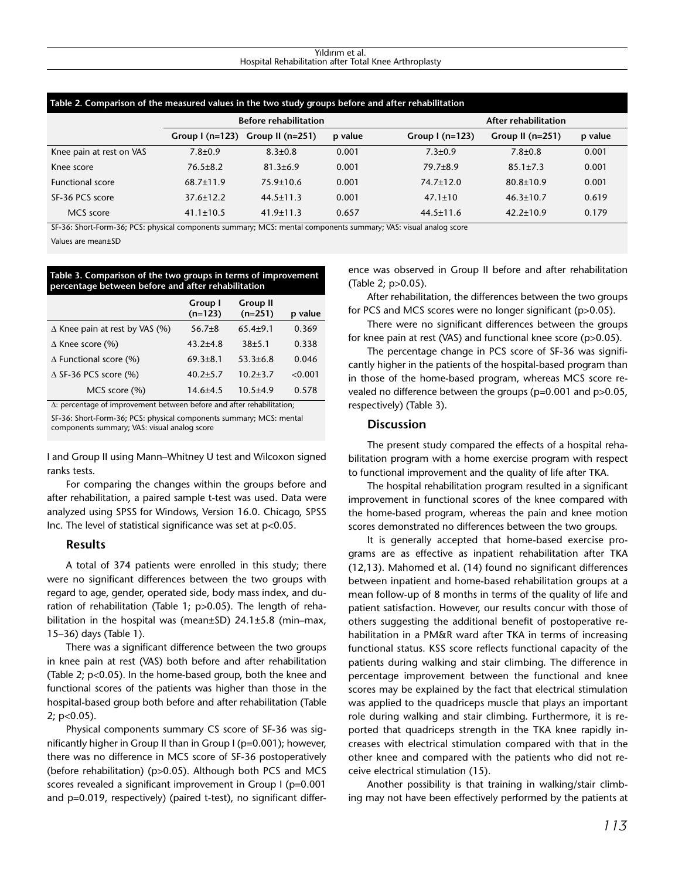#### Yıldırım et al. Hospital Rehabilitation after Total Knee Arthroplasty

| Table 2. Comparison of the measured values in the two study groups before and after rehabilitation |                              |                                  |         |                         |                      |         |  |
|----------------------------------------------------------------------------------------------------|------------------------------|----------------------------------|---------|-------------------------|----------------------|---------|--|
|                                                                                                    | <b>Before rehabilitation</b> |                                  |         |                         | After rehabilitation |         |  |
|                                                                                                    |                              | Group I (n=123) Group II (n=251) | p value | Group $\lfloor$ (n=123) | Group II $(n=251)$   | p value |  |
| Knee pain at rest on VAS                                                                           | $7.8 + 0.9$                  | $8.3 \pm 0.8$                    | 0.001   | $7.3 \pm 0.9$           | $7.8 + 0.8$          | 0.001   |  |
| Knee score                                                                                         | $76.5 \pm 8.2$               | $81.3 \pm 6.9$                   | 0.001   | $79.7 + 8.9$            | $85.1 \pm 7.3$       | 0.001   |  |
| <b>Functional score</b>                                                                            | $68.7 \pm 11.9$              | $75.9 \pm 10.6$                  | 0.001   | $74.7 \pm 12.0$         | $80.8 \pm 10.9$      | 0.001   |  |
| SF-36 PCS score                                                                                    | $37.6 \pm 12.2$              | $44.5 \pm 11.3$                  | 0.001   | $47.1 \pm 10$           | $46.3 \pm 10.7$      | 0.619   |  |
| MCS score                                                                                          | $41.1 \pm 10.5$              | $41.9 \pm 11.3$                  | 0.657   | $44.5 \pm 11.6$         | $42.2 \pm 10.9$      | 0.179   |  |

SF-36: Short-Form-36; PCS: physical components summary; MCS: mental components summary; VAS: visual analog score

Values are mean±SD

#### **Table 3. Comparison of the two groups in terms of improvement percentage between before and after rehabilitation**

|                                       | Group I<br>$(n=123)$ | <b>Group II</b><br>$(n=251)$ | p value |
|---------------------------------------|----------------------|------------------------------|---------|
| $\Delta$ Knee pain at rest by VAS (%) | $56.7\pm8$           | $65.4 + 9.1$                 | 0.369   |
| $\Delta$ Knee score (%)               | $43.2 + 4.8$         | $38+5.1$                     | 0.338   |
| $\Delta$ Functional score (%)         | $69.3 \pm 8.1$       | $53.3 \pm 6.8$               | 0.046   |
| $\triangle$ SF-36 PCS score (%)       | $40.2 \pm 5.7$       | $10.2 + 3.7$                 | < 0.001 |
| MCS score (%)                         | $14.6 + 4.5$         | $10.5 + 4.9$                 | 0.578   |

Δ: percentage of improvement between before and after rehabilitation;

SF-36: Short-Form-36; PCS: physical components summary; MCS: mental components summary; VAS: visual analog score

I and Group II using Mann–Whitney U test and Wilcoxon signed ranks tests.

For comparing the changes within the groups before and after rehabilitation, a paired sample t-test was used. Data were analyzed using SPSS for Windows, Version 16.0. Chicago, SPSS Inc. The level of statistical significance was set at p<0.05.

#### **Results**

A total of 374 patients were enrolled in this study; there were no significant differences between the two groups with regard to age, gender, operated side, body mass index, and duration of rehabilitation (Table 1; p>0.05). The length of rehabilitation in the hospital was (mean±SD) 24.1±5.8 (min–max, 15–36) days (Table 1).

There was a significant difference between the two groups in knee pain at rest (VAS) both before and after rehabilitation (Table 2; p<0.05). In the home-based group, both the knee and functional scores of the patients was higher than those in the hospital-based group both before and after rehabilitation (Table 2; p<0.05).

Physical components summary CS score of SF-36 was significantly higher in Group II than in Group I (p=0.001); however, there was no difference in MCS score of SF-36 postoperatively (before rehabilitation) (p>0.05). Although both PCS and MCS scores revealed a significant improvement in Group I (p=0.001 and p=0.019, respectively) (paired t-test), no significant differ-

ence was observed in Group II before and after rehabilitation (Table 2; p>0.05).

After rehabilitation, the differences between the two groups for PCS and MCS scores were no longer significant (p>0.05).

There were no significant differences between the groups for knee pain at rest (VAS) and functional knee score (p>0.05).

The percentage change in PCS score of SF-36 was significantly higher in the patients of the hospital-based program than in those of the home-based program, whereas MCS score revealed no difference between the groups (p=0.001 and p>0.05, respectively) (Table 3).

## **Discussion**

The present study compared the effects of a hospital rehabilitation program with a home exercise program with respect to functional improvement and the quality of life after TKA.

The hospital rehabilitation program resulted in a significant improvement in functional scores of the knee compared with the home-based program, whereas the pain and knee motion scores demonstrated no differences between the two groups.

It is generally accepted that home-based exercise programs are as effective as inpatient rehabilitation after TKA (12,13). Mahomed et al. (14) found no significant differences between inpatient and home-based rehabilitation groups at a mean follow-up of 8 months in terms of the quality of life and patient satisfaction. However, our results concur with those of others suggesting the additional benefit of postoperative rehabilitation in a PM&R ward after TKA in terms of increasing functional status. KSS score reflects functional capacity of the patients during walking and stair climbing. The difference in percentage improvement between the functional and knee scores may be explained by the fact that electrical stimulation was applied to the quadriceps muscle that plays an important role during walking and stair climbing. Furthermore, it is reported that quadriceps strength in the TKA knee rapidly increases with electrical stimulation compared with that in the other knee and compared with the patients who did not receive electrical stimulation (15).

Another possibility is that training in walking/stair climbing may not have been effectively performed by the patients at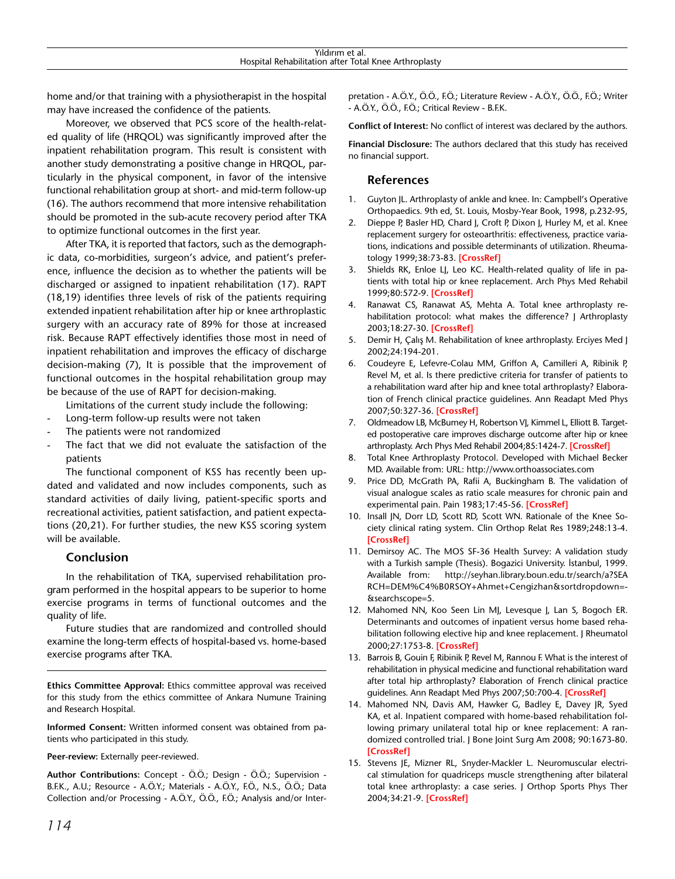home and/or that training with a physiotherapist in the hospital may have increased the confidence of the patients.

Moreover, we observed that PCS score of the health-related quality of life (HRQOL) was significantly improved after the inpatient rehabilitation program. This result is consistent with another study demonstrating a positive change in HRQOL, particularly in the physical component, in favor of the intensive functional rehabilitation group at short- and mid-term follow-up (16). The authors recommend that more intensive rehabilitation should be promoted in the sub-acute recovery period after TKA to optimize functional outcomes in the first year.

After TKA, it is reported that factors, such as the demographic data, co-morbidities, surgeon's advice, and patient's preference, influence the decision as to whether the patients will be discharged or assigned to inpatient rehabilitation (17). RAPT (18,19) identifies three levels of risk of the patients requiring extended inpatient rehabilitation after hip or knee arthroplastic surgery with an accuracy rate of 89% for those at increased risk. Because RAPT effectively identifies those most in need of inpatient rehabilitation and improves the efficacy of discharge decision-making (7), It is possible that the improvement of functional outcomes in the hospital rehabilitation group may be because of the use of RAPT for decision-making.

Limitations of the current study include the following:

- Long-term follow-up results were not taken
- The patients were not randomized
- The fact that we did not evaluate the satisfaction of the patients

The functional component of KSS has recently been updated and validated and now includes components, such as standard activities of daily living, patient-specific sports and recreational activities, patient satisfaction, and patient expectations (20,21). For further studies, the new KSS scoring system will be available.

# **Conclusion**

In the rehabilitation of TKA, supervised rehabilitation program performed in the hospital appears to be superior to home exercise programs in terms of functional outcomes and the quality of life.

Future studies that are randomized and controlled should examine the long-term effects of hospital-based vs. home-based exercise programs after TKA.

**Ethics Committee Approval:** Ethics committee approval was received for this study from the ethics committee of Ankara Numune Training and Research Hospital.

**Informed Consent:** Written informed consent was obtained from patients who participated in this study.

**Peer-review:** Externally peer-reviewed.

**Author Contributions:** Concept **-** Ö.Ö.; Design **-** Ö.Ö.; Supervision **-** B.F.K., A.U.; Resource **-** A.Ö.Y.; Materials **-** A.Ö.Y., F.Ö., N.S., Ö.Ö.; Data Collection and/or Processing **-** A.Ö.Y., Ö.Ö., F.Ö.; Analysis and/or Interpretation **-** A.Ö.Y., Ö.Ö., F.Ö.; Literature Review **-** A.Ö.Y., Ö.Ö., F.Ö.; Writer **-** A.Ö.Y., Ö.Ö., F.Ö.; Critical Review **-** B.F.K.

**Conflict of Interest:** No conflict of interest was declared by the authors.

**Financial Disclosure:** The authors declared that this study has received no financial support.

## **References**

- 1. Guyton JL. Arthroplasty of ankle and knee. In: Campbell's Operative Orthopaedics. 9th ed, St. Louis, Mosby-Year Book, 1998, p.232-95,
- 2. Dieppe P, Basler HD, Chard J, Croft P, Dixon J, Hurley M, et al. Knee replacement surgery for osteoarthritis: effectiveness, practice variations, indications and possible determinants of utilization. Rheumatology 1999;38:73-83. **[CrossRef]**
- 3. Shields RK, Enloe LJ, Leo KC. Health-related quality of life in patients with total hip or knee replacement. Arch Phys Med Rehabil 1999;80:572-9. **[CrossRef]**
- 4. Ranawat CS, Ranawat AS, Mehta A. Total knee arthroplasty rehabilitation protocol: what makes the difference? | Arthroplasty 2003;18:27-30. **[CrossRef]**
- 5. Demir H, Çalış M. Rehabilitation of knee arthroplasty. Erciyes Med J 2002;24:194-201.
- 6. Coudeyre E, Lefevre-Colau MM, Griffon A, Camilleri A, Ribinik P, Revel M, et al. Is there predictive criteria for transfer of patients to a rehabilitation ward after hip and knee total arthroplasty? Elaboration of French clinical practice guidelines. Ann Readapt Med Phys 2007;50:327-36. **[CrossRef]**
- 7. Oldmeadow LB, McBurney H, Robertson VJ, Kimmel L, Elliott B. Targeted postoperative care improves discharge outcome after hip or knee arthroplasty. Arch Phys Med Rehabil 2004;85:1424-7. **[CrossRef]**
- 8. Total Knee Arthroplasty Protocol. Developed with Michael Becker MD. Available from: URL: http://www.orthoassociates.com
- 9. Price DD, McGrath PA, Rafii A, Buckingham B. The validation of visual analogue scales as ratio scale measures for chronic pain and experimental pain. Pain 1983;17:45-56. **[CrossRef]**
- 10. Insall JN, Dorr LD, Scott RD, Scott WN. Rationale of the Knee Society clinical rating system. Clin Orthop Relat Res 1989;248:13-4. **[CrossRef]**
- 11. Demirsoy AC. The MOS SF-36 Health Survey: A validation study with a Turkish sample (Thesis). Bogazici University. İstanbul, 1999. Available from: http://seyhan.library.boun.edu.tr/search/a?SEA RCH=DEM%C4%B0RSOY+Ahmet+Cengizhan&sortdropdown=- &searchscope=5.
- 12. Mahomed NN, Koo Seen Lin MJ, Levesque J, Lan S, Bogoch ER. Determinants and outcomes of inpatient versus home based rehabilitation following elective hip and knee replacement. J Rheumatol 2000;27:1753-8. **[CrossRef]**
- 13. Barrois B, Gouin F, Ribinik P, Revel M, Rannou F. What is the interest of rehabilitation in physical medicine and functional rehabilitation ward after total hip arthroplasty? Elaboration of French clinical practice guidelines. Ann Readapt Med Phys 2007;50:700-4. **[CrossRef]**
- 14. Mahomed NN, Davis AM, Hawker G, Badley E, Davey JR, Syed KA, et al. Inpatient compared with home-based rehabilitation following primary unilateral total hip or knee replacement: A randomized controlled trial. J Bone Joint Surg Am 2008; 90:1673-80. **[CrossRef]**
- 15. Stevens JE, Mizner RL, Snyder-Mackler L. Neuromuscular electrical stimulation for quadriceps muscle strengthening after bilateral total knee arthroplasty: a case series. J Orthop Sports Phys Ther 2004;34:21-9. **[CrossRef]**